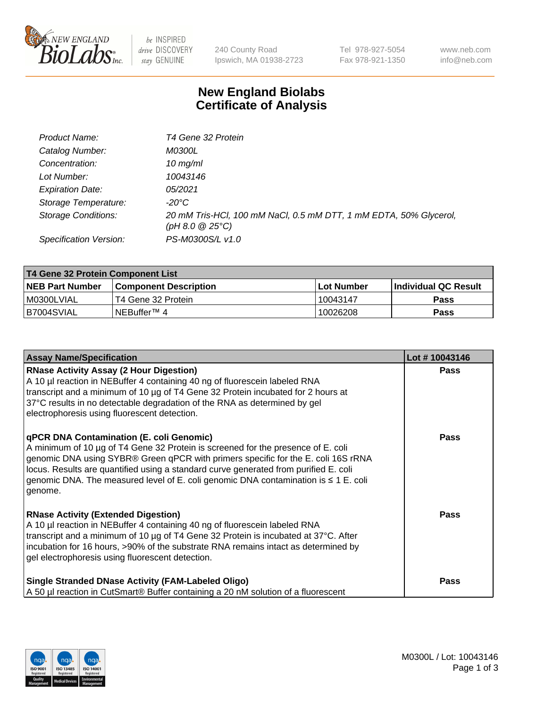

 $be$  INSPIRED drive DISCOVERY stay GENUINE

240 County Road Ipswich, MA 01938-2723 Tel 978-927-5054 Fax 978-921-1350 www.neb.com info@neb.com

## **New England Biolabs Certificate of Analysis**

| Product Name:              | T4 Gene 32 Protein                                                                       |
|----------------------------|------------------------------------------------------------------------------------------|
| Catalog Number:            | <i>M0300L</i>                                                                            |
| Concentration:             | $10 \, \text{mg/ml}$                                                                     |
| Lot Number:                | 10043146                                                                                 |
| <b>Expiration Date:</b>    | 05/2021                                                                                  |
| Storage Temperature:       | $-20^{\circ}$ C                                                                          |
| <b>Storage Conditions:</b> | 20 mM Tris-HCl, 100 mM NaCl, 0.5 mM DTT, 1 mM EDTA, 50% Glycerol,<br>$(pH 8.0 \ @ 25°C)$ |
| Specification Version:     | PS-M0300S/L v1.0                                                                         |

| T4 Gene 32 Protein Component List |                              |             |                       |  |  |
|-----------------------------------|------------------------------|-------------|-----------------------|--|--|
| <b>NEB Part Number</b>            | <b>Component Description</b> | ⊺Lot Number | ∣Individual QC Result |  |  |
| I M0300LVIAL                      | T4 Gene 32 Protein           | 10043147    | <b>Pass</b>           |  |  |
| B7004SVIAL                        | INEBuffer™ 4                 | 10026208    | <b>Pass</b>           |  |  |

| <b>Assay Name/Specification</b>                                                                                                                                                                                                                                                                                                                                                                                         | Lot #10043146 |
|-------------------------------------------------------------------------------------------------------------------------------------------------------------------------------------------------------------------------------------------------------------------------------------------------------------------------------------------------------------------------------------------------------------------------|---------------|
| <b>RNase Activity Assay (2 Hour Digestion)</b><br>A 10 µl reaction in NEBuffer 4 containing 40 ng of fluorescein labeled RNA<br>transcript and a minimum of 10 µg of T4 Gene 32 Protein incubated for 2 hours at<br>37°C results in no detectable degradation of the RNA as determined by gel<br>electrophoresis using fluorescent detection.                                                                           | <b>Pass</b>   |
| <b>qPCR DNA Contamination (E. coli Genomic)</b><br>A minimum of 10 µg of T4 Gene 32 Protein is screened for the presence of E. coli<br>genomic DNA using SYBR® Green qPCR with primers specific for the E. coli 16S rRNA<br>locus. Results are quantified using a standard curve generated from purified E. coli<br>genomic DNA. The measured level of E. coli genomic DNA contamination is $\leq 1$ E. coli<br>genome. | <b>Pass</b>   |
| <b>RNase Activity (Extended Digestion)</b><br>A 10 µl reaction in NEBuffer 4 containing 40 ng of fluorescein labeled RNA<br>transcript and a minimum of 10 µg of T4 Gene 32 Protein is incubated at 37°C. After<br>incubation for 16 hours, >90% of the substrate RNA remains intact as determined by<br>gel electrophoresis using fluorescent detection.                                                               | Pass          |
| <b>Single Stranded DNase Activity (FAM-Labeled Oligo)</b><br>A 50 µl reaction in CutSmart® Buffer containing a 20 nM solution of a fluorescent                                                                                                                                                                                                                                                                          | <b>Pass</b>   |

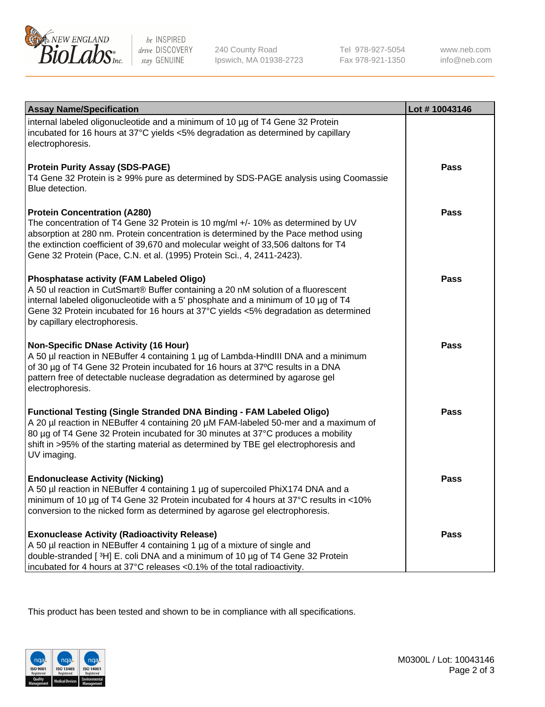

be INSPIRED drive DISCOVERY stay GENUINE

240 County Road Ipswich, MA 01938-2723 Tel 978-927-5054 Fax 978-921-1350 www.neb.com info@neb.com

| <b>Assay Name/Specification</b>                                                                                                                                                                                                                                                                                                                                              | Lot #10043146 |
|------------------------------------------------------------------------------------------------------------------------------------------------------------------------------------------------------------------------------------------------------------------------------------------------------------------------------------------------------------------------------|---------------|
| internal labeled oligonucleotide and a minimum of 10 µg of T4 Gene 32 Protein<br>incubated for 16 hours at 37°C yields <5% degradation as determined by capillary<br>electrophoresis.                                                                                                                                                                                        |               |
| <b>Protein Purity Assay (SDS-PAGE)</b><br>T4 Gene 32 Protein is ≥ 99% pure as determined by SDS-PAGE analysis using Coomassie<br>Blue detection.                                                                                                                                                                                                                             | Pass          |
| <b>Protein Concentration (A280)</b><br>The concentration of T4 Gene 32 Protein is 10 mg/ml +/- 10% as determined by UV<br>absorption at 280 nm. Protein concentration is determined by the Pace method using<br>the extinction coefficient of 39,670 and molecular weight of 33,506 daltons for T4<br>Gene 32 Protein (Pace, C.N. et al. (1995) Protein Sci., 4, 2411-2423). | <b>Pass</b>   |
| Phosphatase activity (FAM Labeled Oligo)<br>A 50 ul reaction in CutSmart® Buffer containing a 20 nM solution of a fluorescent<br>internal labeled oligonucleotide with a 5' phosphate and a minimum of 10 µg of T4<br>Gene 32 Protein incubated for 16 hours at 37°C yields <5% degradation as determined<br>by capillary electrophoresis.                                   | Pass          |
| Non-Specific DNase Activity (16 Hour)<br>A 50 µl reaction in NEBuffer 4 containing 1 µg of Lambda-HindIII DNA and a minimum<br>of 30 µg of T4 Gene 32 Protein incubated for 16 hours at 37°C results in a DNA<br>pattern free of detectable nuclease degradation as determined by agarose gel<br>electrophoresis.                                                            | <b>Pass</b>   |
| <b>Functional Testing (Single Stranded DNA Binding - FAM Labeled Oligo)</b><br>A 20 µl reaction in NEBuffer 4 containing 20 µM FAM-labeled 50-mer and a maximum of<br>80 µg of T4 Gene 32 Protein incubated for 30 minutes at 37°C produces a mobility<br>shift in >95% of the starting material as determined by TBE gel electrophoresis and<br>UV imaging.                 | <b>Pass</b>   |
| <b>Endonuclease Activity (Nicking)</b><br>A 50 µl reaction in NEBuffer 4 containing 1 µg of supercoiled PhiX174 DNA and a<br>minimum of 10 µg of T4 Gene 32 Protein incubated for 4 hours at 37°C results in <10%<br>conversion to the nicked form as determined by agarose gel electrophoresis.                                                                             | <b>Pass</b>   |
| <b>Exonuclease Activity (Radioactivity Release)</b><br>A 50 µl reaction in NEBuffer 4 containing 1 µg of a mixture of single and<br>double-stranded [3H] E. coli DNA and a minimum of 10 μg of T4 Gene 32 Protein<br>incubated for 4 hours at 37°C releases <0.1% of the total radioactivity.                                                                                | Pass          |

This product has been tested and shown to be in compliance with all specifications.